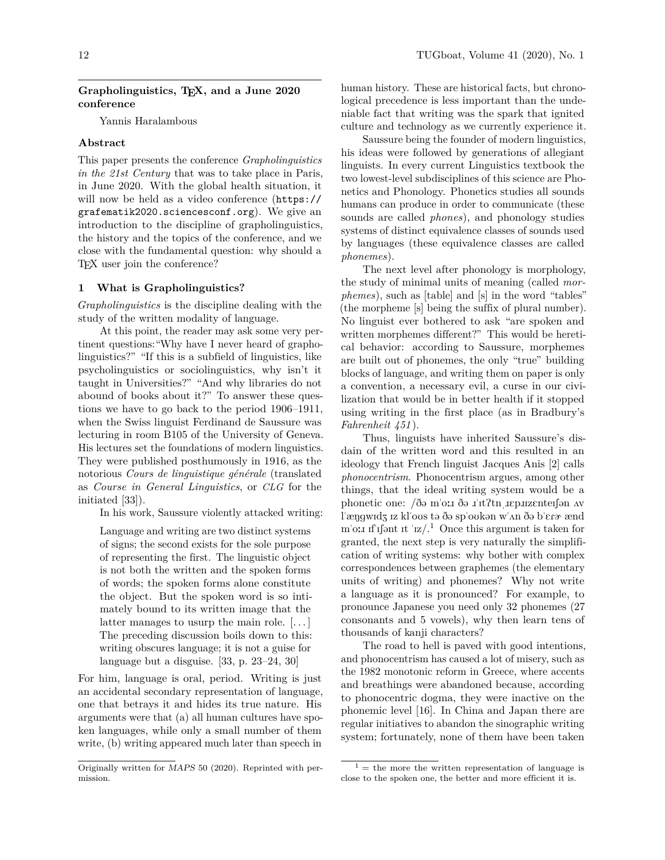### **Grapholinguistics, TEX, and a June 2020 conference**

Yannis Haralambous

### **Abstract**

This paper presents the conference *Grapholinguistics in the 21st Century* that was to take place in Paris, in June 2020. With the global health situation, it will now be held as a video conference ([https://](https://grafematik2020.sciencesconf.org) [grafematik2020.sciencesconf.org](https://grafematik2020.sciencesconf.org)). We give an introduction to the discipline of grapholinguistics, the history and the topics of the conference, and we close with the fundamental question: why should a TEX user join the conference?

### **1 What is Grapholinguistics?**

*Grapholinguistics* is the discipline dealing with the study of the written modality of language.

At this point, the reader may ask some very pertinent questions:"Why have I never heard of grapholinguistics?" "If this is a subfield of linguistics, like psycholinguistics or sociolinguistics, why isn't it taught in Universities?" "And why libraries do not abound of books about it?" To answer these questions we have to go back to the period 1906–1911, when the Swiss linguist Ferdinand de Saussure was lecturing in room B105 of the University of Geneva. His lectures set the foundations of modern linguistics. They were published posthumously in 1916, as the notorious *Cours de linguistique générale* (translated as *Course in General Linguistics*, or *CLG* for the initiated [\[33\]](#page-7-0)).

In his work, Saussure violently attacked writing:

Language and writing are two distinct systems of signs; the second exists for the sole purpose of representing the first. The linguistic object is not both the written and the spoken forms of words; the spoken forms alone constitute the object. But the spoken word is so intimately bound to its written image that the latter manages to usurp the main role.  $[\dots]$ The preceding discussion boils down to this: writing obscures language; it is not a guise for language but a disguise. [\[33,](#page-7-0) p. 23–24, 30]

For him, language is oral, period. Writing is just an accidental secondary representation of language, one that betrays it and hides its true nature. His arguments were that (a) all human cultures have spoken languages, while only a small number of them write, (b) writing appeared much later than speech in

human history. These are historical facts, but chronological precedence is less important than the undeniable fact that writing was the spark that ignited culture and technology as we currently experience it.

Saussure being the founder of modern linguistics, his ideas were followed by generations of allegiant linguists. In every current Linguistics textbook the two lowest-level subdisciplines of this science are Phonetics and Phonology. Phonetics studies all sounds humans can produce in order to communicate (these sounds are called *phones*), and phonology studies systems of distinct equivalence classes of sounds used by languages (these equivalence classes are called *phonemes*).

The next level after phonology is morphology, the study of minimal units of meaning (called *morphemes*), such as [table] and [s] in the word "tables" (the morpheme [s] being the suffix of plural number). No linguist ever bothered to ask "are spoken and written morphemes different?" This would be heretical behavior: according to Saussure, morphemes are built out of phonemes, the only "true" building blocks of language, and writing them on paper is only a convention, a necessary evil, a curse in our civilization that would be in better health if it stopped using writing in the first place (as in Bradbury's *Fahrenheit 451* ).

Thus, linguists have inherited Saussure's disdain of the written word and this resulted in an ideology that French linguist Jacques Anis [\[2\]](#page-6-0) calls *phonocentrism*. Phonocentrism argues, among other things, that the ideal writing system would be a phonetic one: /ðə m'o:1 ðə 1'1t?tn tep.iizenteifən av procedure the control of the control procedure, or all the procedure, since the line of the control of the spider of the spider of the spider of the spider of the spider of the spider of the spider of the spider of the spi m'o: If If If It It  $\langle \mathbf{z}/2 \rangle$ <sup>[1](#page-0-0)</sup> Once this argument is taken for granted, the next step is very naturally the simplification of writing systems: why bother with complex correspondences between graphemes (the elementary units of writing) and phonemes? Why not write a language as it is pronounced? For example, to pronounce Japanese you need only 32 phonemes (27 consonants and 5 vowels), why then learn tens of thousands of kanji characters?

The road to hell is paved with good intentions, and phonocentrism has caused a lot of misery, such as the 1982 monotonic reform in Greece, where accents and breathings were abandoned because, according to phonocentric dogma, they were inactive on the phonemic level [\[16\]](#page-6-1). In China and Japan there are regular initiatives to abandon the sinographic writing system; fortunately, none of them have been taken

Originally written for MAPS 50 (2020). Reprinted with permission.

<span id="page-0-0"></span> $1 =$  the more the written representation of language is close to the spoken one, the better and more efficient it is.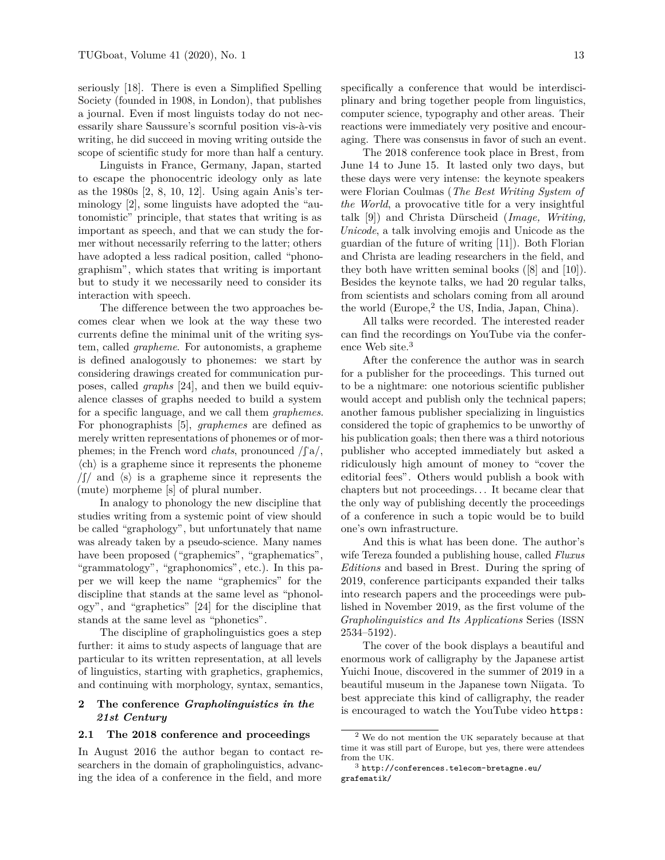seriously [\[18\]](#page-6-2). There is even a Simplified Spelling Society (founded in 1908, in London), that publishes a journal. Even if most linguists today do not necessarily share Saussure's scornful position vis-à-vis writing, he did succeed in moving writing outside the scope of scientific study for more than half a century.

Linguists in France, Germany, Japan, started to escape the phonocentric ideology only as late as the 1980s [\[2,](#page-6-0) [8,](#page-6-3) [10,](#page-6-4) [12\]](#page-6-5). Using again Anis's terminology [\[2\]](#page-6-0), some linguists have adopted the "autonomistic" principle, that states that writing is as important as speech, and that we can study the former without necessarily referring to the latter; others have adopted a less radical position, called "phonographism", which states that writing is important but to study it we necessarily need to consider its interaction with speech.

The difference between the two approaches becomes clear when we look at the way these two currents define the minimal unit of the writing system, called *grapheme*. For autonomists, a grapheme is defined analogously to phonemes: we start by considering drawings created for communication purposes, called *graphs* [\[24\]](#page-6-6), and then we build equivalence classes of graphs needed to build a system for a specific language, and we call them *graphemes*. For phonographists [\[5\]](#page-6-7), *graphemes* are defined as merely written representations of phonemes or of morphemes; in the French word *chats*, pronounced  $\int \int a/\sqrt{g}$ ,  $\langle ch \rangle$  is a grapheme since it represents the phoneme  $\int \int \int$  and  $\langle s \rangle$  is a grapheme since it represents the (mute) morpheme [s] of plural number.

In analogy to phonology the new discipline that studies writing from a systemic point of view should be called "graphology", but unfortunately that name was already taken by a pseudo-science. Many names have been proposed ("graphemics", "graphematics", "grammatology", "graphonomics", etc.). In this paper we will keep the name "graphemics" for the discipline that stands at the same level as "phonology", and "graphetics" [\[24\]](#page-6-6) for the discipline that stands at the same level as "phonetics".

The discipline of grapholinguistics goes a step further: it aims to study aspects of language that are particular to its written representation, at all levels of linguistics, starting with graphetics, graphemics, and continuing with morphology, syntax, semantics,

### **2 The conference** *Grapholinguistics in the 21st Century*

#### **2.1 The 2018 conference and proceedings**

In August 2016 the author began to contact researchers in the domain of grapholinguistics, advancing the idea of a conference in the field, and more

specifically a conference that would be interdisciplinary and bring together people from linguistics, computer science, typography and other areas. Their reactions were immediately very positive and encouraging. There was consensus in favor of such an event.

The 2018 conference took place in Brest, from June 14 to June 15. It lasted only two days, but these days were very intense: the keynote speakers were Florian Coulmas (*The Best Writing System of the World*, a provocative title for a very insightful talk [\[9\]](#page-6-8)) and Christa D¨urscheid (*Image, Writing, Unicode*, a talk involving emojis and Unicode as the guardian of the future of writing [\[11\]](#page-6-9)). Both Florian and Christa are leading researchers in the field, and they both have written seminal books ([\[8\]](#page-6-3) and [\[10\]](#page-6-4)). Besides the keynote talks, we had 20 regular talks, from scientists and scholars coming from all around the world  $(Europe, 2$  $(Europe, 2$  the US, India, Japan, China).

All talks were recorded. The interested reader can find the recordings on YouTube via the conference Web site.[3](#page-1-1)

After the conference the author was in search for a publisher for the proceedings. This turned out to be a nightmare: one notorious scientific publisher would accept and publish only the technical papers; another famous publisher specializing in linguistics considered the topic of graphemics to be unworthy of his publication goals; then there was a third notorious publisher who accepted immediately but asked a ridiculously high amount of money to "cover the editorial fees". Others would publish a book with chapters but not proceedings. . . It became clear that the only way of publishing decently the proceedings of a conference in such a topic would be to build one's own infrastructure.

And this is what has been done. The author's wife Tereza founded a publishing house, called *Fluxus Editions* and based in Brest. During the spring of 2019, conference participants expanded their talks into research papers and the proceedings were published in November 2019, as the first volume of the *Grapholinguistics and Its Applications* Series (ISSN 2534–5192).

The cover of the book displays a beautiful and enormous work of calligraphy by the Japanese artist Yuichi Inoue, discovered in the summer of 2019 in a beautiful museum in the Japanese town Niigata. To best appreciate this kind of calligraphy, the reader is encouraged to watch the YouTube video [https:](https://www.youtube.com/watch?v=Fnhg5hKp4WY)

<span id="page-1-0"></span><sup>2</sup> We do not mention the UK [separately because at that](https://www.youtube.com/watch?v=Fnhg5hKp4WY) [time it was still part of Europe, but yes, there were attendees](https://www.youtube.com/watch?v=Fnhg5hKp4WY) [from the](https://www.youtube.com/watch?v=Fnhg5hKp4WY) UK.

<span id="page-1-1"></span><sup>3</sup> [http://conferences.telecom-bretagne.eu/](https://www.youtube.com/watch?v=Fnhg5hKp4WY) [grafematik/](https://www.youtube.com/watch?v=Fnhg5hKp4WY)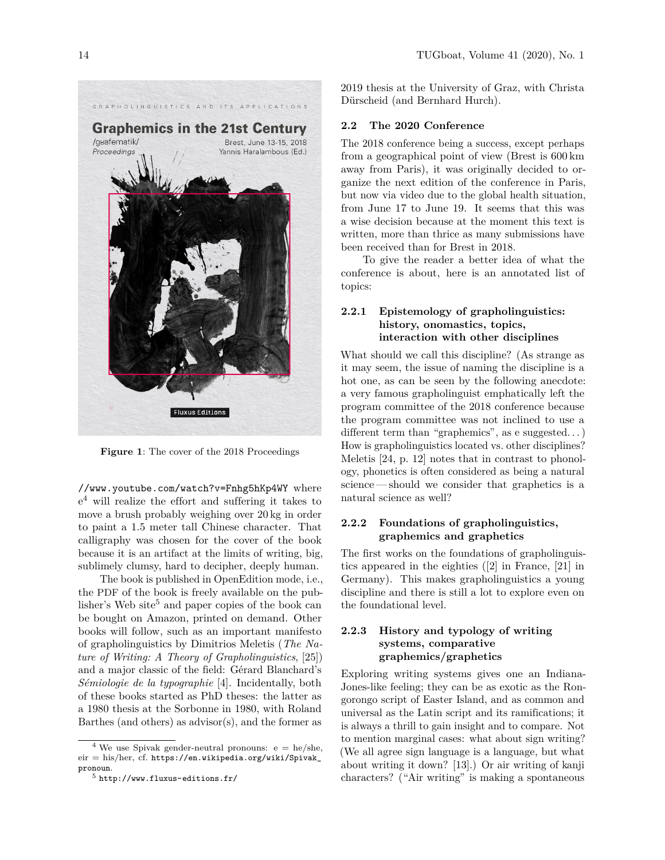

**Figure 1**: The cover of the 2018 Proceedings

[//www.youtube.com/watch?v=Fnhg5hKp4WY](https://www.youtube.com/watch?v=Fnhg5hKp4WY) where e [4](#page-2-0) will realize the effort and suffering it takes to move a brush probably weighing over 20 kg in order to paint a 1.5 meter tall Chinese character. That calligraphy was chosen for the cover of the book because it is an artifact at the limits of writing, big, sublimely clumsy, hard to decipher, deeply human.

The book is published in OpenEdition mode, i.e., the PDF of the book is freely available on the pub-lisher's Web site<sup>[5](#page-2-1)</sup> and paper copies of the book can be bought on Amazon, printed on demand. Other books will follow, such as an important manifesto of grapholinguistics by Dimitrios Meletis (*The Nature of Writing: A Theory of Grapholinguistics*, [\[25\]](#page-6-10)) and a major classic of the field: Gérard Blanchard's *Sémiologie de la typographie* [\[4\]](#page-6-11). Incidentally, both of these books started as PhD theses: the latter as a 1980 thesis at the Sorbonne in 1980, with Roland Barthes (and others) as advisor(s), and the former as

2019 thesis at the University of Graz, with Christa Dürscheid (and Bernhard Hurch).

#### **2.2 The 2020 Conference**

The 2018 conference being a success, except perhaps from a geographical point of view (Brest is 600 km away from Paris), it was originally decided to organize the next edition of the conference in Paris, but now via video due to the global health situation, from June 17 to June 19. It seems that this was a wise decision because at the moment this text is written, more than thrice as many submissions have been received than for Brest in 2018.

To give the reader a better idea of what the conference is about, here is an annotated list of topics:

# **2.2.1 Epistemology of grapholinguistics: history, onomastics, topics, interaction with other disciplines**

What should we call this discipline? (As strange as it may seem, the issue of naming the discipline is a hot one, as can be seen by the following anecdote: a very famous grapholinguist emphatically left the program committee of the 2018 conference because the program committee was not inclined to use a different term than "graphemics", as e suggested...) How is grapholinguistics located vs. other disciplines? Meletis [\[24,](#page-6-6) p. 12] notes that in contrast to phonology, phonetics is often considered as being a natural science— should we consider that graphetics is a natural science as well?

## **2.2.2 Foundations of grapholinguistics, graphemics and graphetics**

The first works on the foundations of grapholinguistics appeared in the eighties ([\[2\]](#page-6-0) in France, [\[21\]](#page-6-12) in Germany). This makes grapholinguistics a young discipline and there is still a lot to explore even on the foundational level.

## **2.2.3 History and typology of writing systems, comparative graphemics/graphetics**

Exploring writing systems gives one an Indiana-Jones-like feeling; they can be as exotic as the Rongorongo script of Easter Island, and as common and universal as the Latin script and its ramifications; it is always a thrill to gain insight and to compare. Not to mention marginal cases: what about sign writing? (We all agree sign language is a language, but what about writing it down? [\[13\]](#page-6-13).) Or air writing of kanji characters? ("Air writing" is making a spontaneous

<span id="page-2-0"></span> $^4$  We use Spivak gender-neutral pronouns: e = he/she, eir = his/her, cf. [https://en.wikipedia.org/wiki/Spivak\\_](https://en.wikipedia.org/wiki/Spivak_pronoun) [pronoun](https://en.wikipedia.org/wiki/Spivak_pronoun).

<span id="page-2-1"></span> $^5$ <http://www.fluxus-editions.fr/>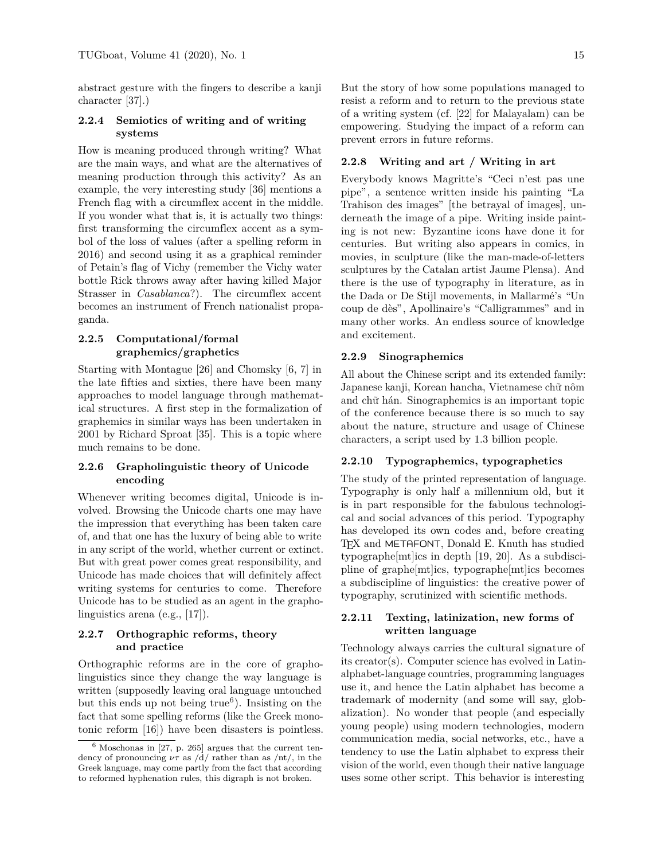abstract gesture with the fingers to describe a kanji character [\[37\]](#page-7-1).)

### **2.2.4 Semiotics of writing and of writing systems**

How is meaning produced through writing? What are the main ways, and what are the alternatives of meaning production through this activity? As an example, the very interesting study [\[36\]](#page-7-2) mentions a French flag with a circumflex accent in the middle. If you wonder what that is, it is actually two things: first transforming the circumflex accent as a symbol of the loss of values (after a spelling reform in 2016) and second using it as a graphical reminder of Petain's flag of Vichy (remember the Vichy water bottle Rick throws away after having killed Major Strasser in *Casablanca*?). The circumflex accent becomes an instrument of French nationalist propaganda.

## **2.2.5 Computational/formal graphemics/graphetics**

Starting with Montague [\[26\]](#page-7-3) and Chomsky [\[6,](#page-6-14) [7\]](#page-6-15) in the late fifties and sixties, there have been many approaches to model language through mathematical structures. A first step in the formalization of graphemics in similar ways has been undertaken in 2001 by Richard Sproat [\[35\]](#page-7-4). This is a topic where much remains to be done.

### **2.2.6 Grapholinguistic theory of Unicode encoding**

Whenever writing becomes digital, Unicode is involved. Browsing the Unicode charts one may have the impression that everything has been taken care of, and that one has the luxury of being able to write in any script of the world, whether current or extinct. But with great power comes great responsibility, and Unicode has made choices that will definitely affect writing systems for centuries to come. Therefore Unicode has to be studied as an agent in the grapholinguistics arena (e.g., [\[17\]](#page-6-16)).

## **2.2.7 Orthographic reforms, theory and practice**

Orthographic reforms are in the core of grapholinguistics since they change the way language is written (supposedly leaving oral language untouched but this ends up not being true<sup>[6](#page-3-0)</sup>). Insisting on the fact that some spelling reforms (like the Greek monotonic reform [\[16\]](#page-6-1)) have been disasters is pointless. But the story of how some populations managed to resist a reform and to return to the previous state of a writing system (cf. [\[22\]](#page-6-17) for Malayalam) can be empowering. Studying the impact of a reform can prevent errors in future reforms.

### **2.2.8 Writing and art / Writing in art**

Everybody knows Magritte's "Ceci n'est pas une pipe", a sentence written inside his painting "La Trahison des images" [the betrayal of images], underneath the image of a pipe. Writing inside painting is not new: Byzantine icons have done it for centuries. But writing also appears in comics, in movies, in sculpture (like the man-made-of-letters sculptures by the Catalan artist Jaume Plensa). And there is the use of typography in literature, as in the Dada or De Stijl movements, in Mallarmé's "Un coup de dès", Apollinaire's "Calligrammes" and in many other works. An endless source of knowledge and excitement.

### **2.2.9 Sinographemics**

All about the Chinese script and its extended family: Japanese kanji, Korean hancha, Vietnamese chữ nôm and chữ hán. Sinographemics is an important topic of the conference because there is so much to say about the nature, structure and usage of Chinese characters, a script used by 1.3 billion people.

### **2.2.10 Typographemics, typographetics**

The study of the printed representation of language. Typography is only half a millennium old, but it is in part responsible for the fabulous technological and social advances of this period. Typography has developed its own codes and, before creating TEX and METAFONT, Donald E. Knuth has studied typographe[mt]ics in depth [\[19,](#page-6-18) [20\]](#page-6-19). As a subdiscipline of graphe[mt]ics, typographe[mt]ics becomes a subdiscipline of linguistics: the creative power of typography, scrutinized with scientific methods.

### **2.2.11 Texting, latinization, new forms of written language**

Technology always carries the cultural signature of its creator(s). Computer science has evolved in Latinalphabet-language countries, programming languages use it, and hence the Latin alphabet has become a trademark of modernity (and some will say, globalization). No wonder that people (and especially young people) using modern technologies, modern communication media, social networks, etc., have a tendency to use the Latin alphabet to express their vision of the world, even though their native language uses some other script. This behavior is interesting

<span id="page-3-0"></span> $6$  Moschonas in [\[27,](#page-7-5) p. 265] argues that the current tendency of pronouncing  $\nu\tau$  as /d/ rather than as /nt/, in the Greek language, may come partly from the fact that according to reformed hyphenation rules, this digraph is not broken.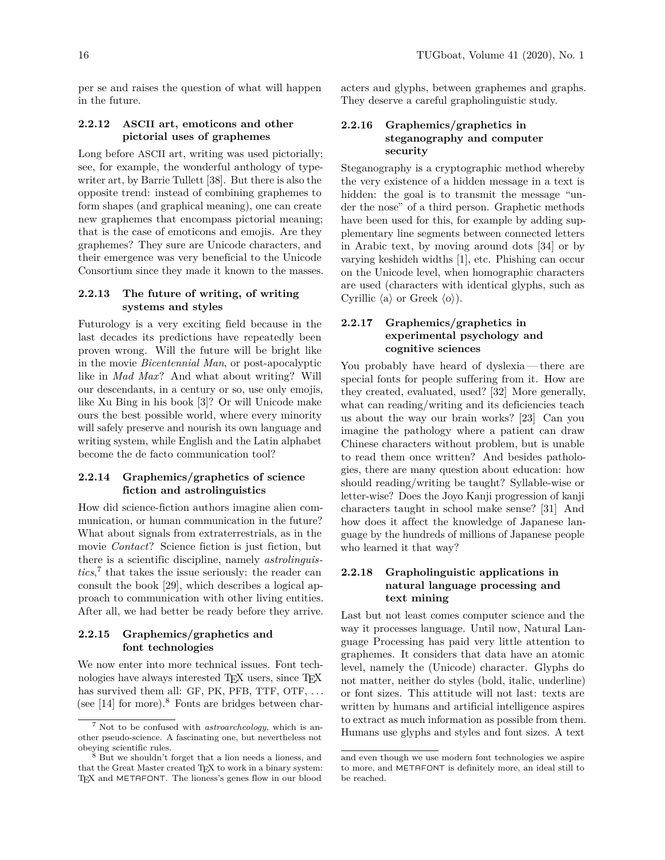per se and raises the question of what will happen in the future.

## **2.2.12 ASCII art, emoticons and other pictorial uses of graphemes**

Long before ASCII art, writing was used pictorially; see, for example, the wonderful anthology of typewriter art, by Barrie Tullett [\[38\]](#page-7-6). But there is also the opposite trend: instead of combining graphemes to form shapes (and graphical meaning), one can create new graphemes that encompass pictorial meaning; that is the case of emoticons and emojis. Are they graphemes? They sure are Unicode characters, and their emergence was very beneficial to the Unicode Consortium since they made it known to the masses.

## **2.2.13 The future of writing, of writing systems and styles**

Futurology is a very exciting field because in the last decades its predictions have repeatedly been proven wrong. Will the future will be bright like in the movie *Bicentennial Man*, or post-apocalyptic like in *Mad Max*? And what about writing? Will our descendants, in a century or so, use only emojis, like Xu Bing in his book [\[3\]](#page-6-20)? Or will Unicode make ours the best possible world, where every minority will safely preserve and nourish its own language and writing system, while English and the Latin alphabet become the de facto communication tool?

## **2.2.14 Graphemics/graphetics of science fiction and astrolinguistics**

How did science-fiction authors imagine alien communication, or human communication in the future? What about signals from extraterrestrials, as in the movie *Contact*? Science fiction is just fiction, but there is a scientific discipline, namely *astrolinguistics*, [7](#page-4-0) that takes the issue seriously: the reader can consult the book [\[29\]](#page-7-7), which describes a logical approach to communication with other living entities. After all, we had better be ready before they arrive.

### **2.2.15 Graphemics/graphetics and font technologies**

We now enter into more technical issues. Font technologies have always interested T<sub>E</sub>X users, since T<sub>E</sub>X has survived them all: GF, PK, PFB, TTF, OTF, ... (see  $[14]$  for more).<sup>[8](#page-4-1)</sup> Fonts are bridges between char-

acters and glyphs, between graphemes and graphs. They deserve a careful grapholinguistic study.

## **2.2.16 Graphemics/graphetics in steganography and computer security**

Steganography is a cryptographic method whereby the very existence of a hidden message in a text is hidden: the goal is to transmit the message "under the nose" of a third person. Graphetic methods have been used for this, for example by adding supplementary line segments between connected letters in Arabic text, by moving around dots [\[34\]](#page-7-8) or by varying keshideh widths [\[1\]](#page-6-22), etc. Phishing can occur on the Unicode level, when homographic characters are used (characters with identical glyphs, such as Cyrillic  $\langle a \rangle$  or Greek  $\langle o \rangle$ ).

# **2.2.17 Graphemics/graphetics in experimental psychology and cognitive sciences**

You probably have heard of dyslexia— there are special fonts for people suffering from it. How are they created, evaluated, used? [\[32\]](#page-7-9) More generally, what can reading/writing and its deficiencies teach us about the way our brain works? [\[23\]](#page-6-23) Can you imagine the pathology where a patient can draw Chinese characters without problem, but is unable to read them once written? And besides pathologies, there are many question about education: how should reading/writing be taught? Syllable-wise or letter-wise? Does the Joyo Kanji progression of kanji characters taught in school make sense? [\[31\]](#page-7-10) And how does it affect the knowledge of Japanese language by the hundreds of millions of Japanese people who learned it that way?

## **2.2.18 Grapholinguistic applications in natural language processing and text mining**

Last but not least comes computer science and the way it processes language. Until now, Natural Language Processing has paid very little attention to graphemes. It considers that data have an atomic level, namely the (Unicode) character. Glyphs do not matter, neither do styles (bold, italic, underline) or font sizes. This attitude will not last: texts are written by humans and artificial intelligence aspires to extract as much information as possible from them. Humans use glyphs and styles and font sizes. A text

<span id="page-4-0"></span><sup>7</sup> Not to be confused with *astroarcheology*, which is another pseudo-science. A fascinating one, but nevertheless not obeying scientific rules.

<span id="page-4-1"></span>But we shouldn't forget that a lion needs a lioness, and that the Great Master created TFX to work in a binary system: TEX and METAFONT. The lioness's genes flow in our blood

and even though we use modern font technologies we aspire to more, and METAFONT is definitely more, an ideal still to be reached.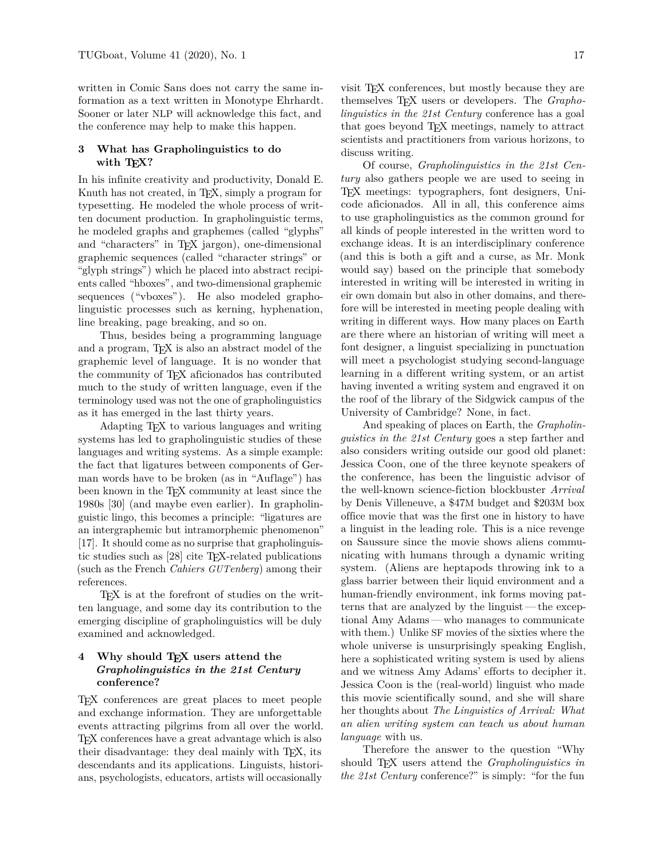written in Comic Sans does not carry the same information as a text written in Monotype Ehrhardt. Sooner or later NLP will acknowledge this fact, and the conference may help to make this happen.

### **3 What has Grapholinguistics to do** with T<sub>F</sub>X?

In his infinite creativity and productivity, Donald E. Knuth has not created, in TEX, simply a program for typesetting. He modeled the whole process of written document production. In grapholinguistic terms, he modeled graphs and graphemes (called "glyphs" and "characters" in TEX jargon), one-dimensional graphemic sequences (called "character strings" or "glyph strings") which he placed into abstract recipients called "hboxes", and two-dimensional graphemic sequences ("vboxes"). He also modeled grapholinguistic processes such as kerning, hyphenation, line breaking, page breaking, and so on.

Thus, besides being a programming language and a program, TEX is also an abstract model of the graphemic level of language. It is no wonder that the community of TEX aficionados has contributed much to the study of written language, even if the terminology used was not the one of grapholinguistics as it has emerged in the last thirty years.

Adapting TEX to various languages and writing systems has led to grapholinguistic studies of these languages and writing systems. As a simple example: the fact that ligatures between components of German words have to be broken (as in "Auflage") has been known in the T<sub>E</sub>X community at least since the 1980s [\[30\]](#page-7-11) (and maybe even earlier). In grapholinguistic lingo, this becomes a principle: "ligatures are an intergraphemic but intramorphemic phenomenon" [\[17\]](#page-6-16). It should come as no surprise that grapholinguistic studies such as [\[28\]](#page-7-12) cite TEX-related publications (such as the French *Cahiers GUTenberg*) among their references.

TEX is at the forefront of studies on the written language, and some day its contribution to the emerging discipline of grapholinguistics will be duly examined and acknowledged.

## **4 Why should TEX users attend the** *Grapholinguistics in the 21st Century* **conference?**

TEX conferences are great places to meet people and exchange information. They are unforgettable events attracting pilgrims from all over the world. TEX conferences have a great advantage which is also their disadvantage: they deal mainly with TEX, its descendants and its applications. Linguists, historians, psychologists, educators, artists will occasionally

visit TEX conferences, but mostly because they are themselves TEX users or developers. The *Grapholinguistics in the 21st Century* conference has a goal that goes beyond TEX meetings, namely to attract scientists and practitioners from various horizons, to discuss writing.

Of course, *Grapholinguistics in the 21st Century* also gathers people we are used to seeing in TEX meetings: typographers, font designers, Unicode aficionados. All in all, this conference aims to use grapholinguistics as the common ground for all kinds of people interested in the written word to exchange ideas. It is an interdisciplinary conference (and this is both a gift and a curse, as Mr. Monk would say) based on the principle that somebody interested in writing will be interested in writing in eir own domain but also in other domains, and therefore will be interested in meeting people dealing with writing in different ways. How many places on Earth are there where an historian of writing will meet a font designer, a linguist specializing in punctuation will meet a psychologist studying second-language learning in a different writing system, or an artist having invented a writing system and engraved it on the roof of the library of the Sidgwick campus of the University of Cambridge? None, in fact.

And speaking of places on Earth, the *Grapholinguistics in the 21st Century* goes a step farther and also considers writing outside our good old planet: Jessica Coon, one of the three keynote speakers of the conference, has been the linguistic advisor of the well-known science-fiction blockbuster *Arrival* by Denis Villeneuve, a \$47M budget and \$203M box office movie that was the first one in history to have a linguist in the leading role. This is a nice revenge on Saussure since the movie shows aliens communicating with humans through a dynamic writing system. (Aliens are heptapods throwing ink to a glass barrier between their liquid environment and a human-friendly environment, ink forms moving patterns that are analyzed by the linguist— the exceptional Amy Adams — who manages to communicate with them.) Unlike SF movies of the sixties where the whole universe is unsurprisingly speaking English, here a sophisticated writing system is used by aliens and we witness Amy Adams' efforts to decipher it. Jessica Coon is the (real-world) linguist who made this movie scientifically sound, and she will share her thoughts about *The Linguistics of Arrival: What an alien writing system can teach us about human language* with us.

Therefore the answer to the question "Why should TEX users attend the *Grapholinguistics in the 21st Century* conference?" is simply: "for the fun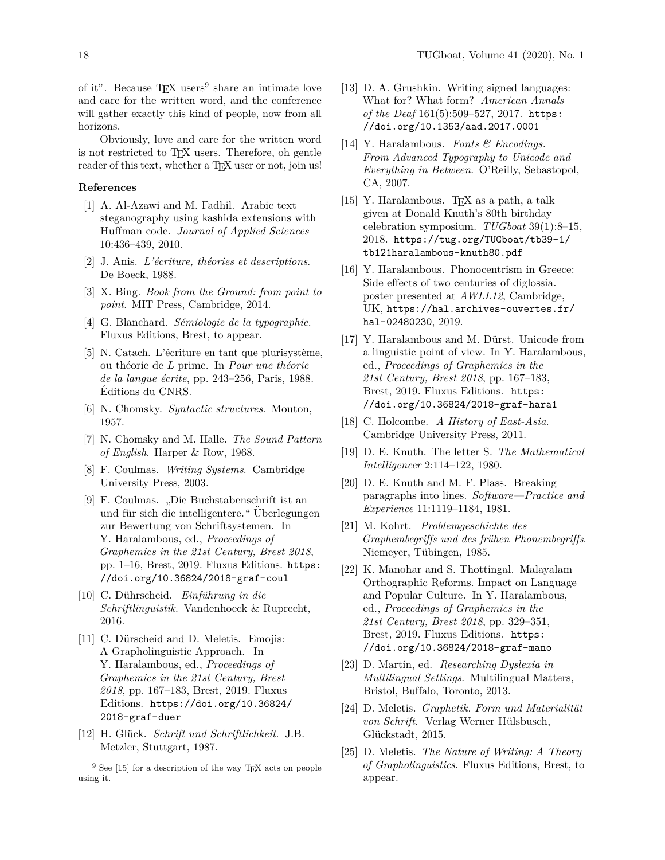of it". Because  $T_{E}X$  users<sup>[9](#page-6-24)</sup> share an intimate love and care for the written word, and the conference will gather exactly this kind of people, now from all horizons.

Obviously, love and care for the written word is not restricted to TEX users. Therefore, oh gentle reader of this text, whether a TFX user or not, join us!

#### **References**

- <span id="page-6-22"></span>[1] A. Al-Azawi and M. Fadhil. Arabic text steganography using kashida extensions with Huffman code. *Journal of Applied Sciences* 10:436–439, 2010.
- <span id="page-6-0"></span>[2] J. Anis. *L'écriture, théories et descriptions*. De Boeck, 1988.
- <span id="page-6-20"></span>[3] X. Bing. *Book from the Ground: from point to point*. MIT Press, Cambridge, 2014.
- <span id="page-6-11"></span>[4] G. Blanchard. *Sémiologie de la typographie*. Fluxus Editions, Brest, to appear.
- <span id="page-6-7"></span>[5] N. Catach. L'écriture en tant que plurisystème, ou théorie de *L* prime. In *Pour une théorie de la langue écrite*, pp. 243–256, Paris, 1988. Éditions du CNRS.
- <span id="page-6-14"></span>[6] N. Chomsky. *Syntactic structures*. Mouton, 1957.
- <span id="page-6-15"></span>[7] N. Chomsky and M. Halle. *The Sound Pattern of English*. Harper & Row, 1968.
- <span id="page-6-3"></span>[8] F. Coulmas. *Writing Systems*. Cambridge University Press, 2003.
- <span id="page-6-8"></span>[9] F. Coulmas. "Die Buchstabenschrift ist an und für sich die intelligentere." Überlegungen zur Bewertung von Schriftsystemen. In Y. Haralambous, ed., *Proceedings of Graphemics in the 21st Century, Brest 2018*, pp. 1–16, Brest, 2019. Fluxus Editions. [https:](https://doi.org/10.36824/2018-graf-coul) [//doi.org/10.36824/2018-graf-coul](https://doi.org/10.36824/2018-graf-coul)
- <span id="page-6-4"></span>[10] C. D¨uhrscheid. *Einf¨uhrung in die Schriftlinguistik*. Vandenhoeck & Ruprecht, 2016.
- <span id="page-6-9"></span>[11] C. Dürscheid and D. Meletis. Emojis: A Grapholinguistic Approach. In Y. Haralambous, ed., *Proceedings of Graphemics in the 21st Century, Brest 2018*, pp. 167–183, Brest, 2019. Fluxus Editions. [https://doi.org/10.36824/](https://doi.org/10.36824/2018-graf-duer) [2018-graf-duer](https://doi.org/10.36824/2018-graf-duer)
- <span id="page-6-5"></span>[12] H. Glück. *Schrift und Schriftlichkeit*. J.B. Metzler, Stuttgart, 1987.
- <span id="page-6-13"></span>[13] D. A. Grushkin. Writing signed languages: What for? What form? *American Annals of the Deaf* 161(5):509–527, 2017. [https:](https://doi.org/10.1353/aad.2017.0001) [//doi.org/10.1353/aad.2017.0001](https://doi.org/10.1353/aad.2017.0001)
- <span id="page-6-21"></span>[14] Y. Haralambous. *Fonts & Encodings. From Advanced Typography to Unicode and Everything in Between*. O'Reilly, Sebastopol, CA, 2007.
- <span id="page-6-25"></span>[15] Y. Haralambous. T<sub>F</sub>X as a path, a talk given at Donald Knuth's 80th birthday celebration symposium. *TUGboat* 39(1):8–15, 2018. [https://tug.org/TUGboat/tb39-1/](https://tug.org/TUGboat/tb39-1/tb121haralambous-knuth80.pdf) [tb121haralambous-knuth80.pdf](https://tug.org/TUGboat/tb39-1/tb121haralambous-knuth80.pdf)
- <span id="page-6-1"></span>[16] Y. Haralambous. Phonocentrism in Greece: Side effects of two centuries of diglossia. poster presented at *AWLL12*, Cambridge, UK, [https://hal.archives-ouvertes.fr/](https://hal.archives-ouvertes.fr/hal-02480230) [hal-02480230](https://hal.archives-ouvertes.fr/hal-02480230), 2019.
- <span id="page-6-16"></span>[17] Y. Haralambous and M. Dürst. Unicode from a linguistic point of view. In Y. Haralambous, ed., *Proceedings of Graphemics in the 21st Century, Brest 2018*, pp. 167–183, Brest, 2019. Fluxus Editions. [https:](https://doi.org/10.36824/2018-graf-hara1) [//doi.org/10.36824/2018-graf-hara1](https://doi.org/10.36824/2018-graf-hara1)
- <span id="page-6-2"></span>[18] C. Holcombe. *A History of East-Asia*. Cambridge University Press, 2011.
- <span id="page-6-18"></span>[19] D. E. Knuth. The letter S. *The Mathematical Intelligencer* 2:114–122, 1980.
- <span id="page-6-19"></span>[20] D. E. Knuth and M. F. Plass. Breaking paragraphs into lines. *Software—Practice and Experience* 11:1119–1184, 1981.
- <span id="page-6-12"></span>[21] M. Kohrt. *Problemgeschichte des Graphembegriffs und des frühen Phonembegriffs.* Niemeyer, Tübingen, 1985.
- <span id="page-6-17"></span>[22] K. Manohar and S. Thottingal. Malayalam Orthographic Reforms. Impact on Language and Popular Culture. In Y. Haralambous, ed., *Proceedings of Graphemics in the 21st Century, Brest 2018*, pp. 329–351, Brest, 2019. Fluxus Editions. [https:](https://doi.org/10.36824/2018-graf-mano) [//doi.org/10.36824/2018-graf-mano](https://doi.org/10.36824/2018-graf-mano)
- <span id="page-6-23"></span>[23] D. Martin, ed. *Researching Dyslexia in Multilingual Settings*. Multilingual Matters, Bristol, Buffalo, Toronto, 2013.
- <span id="page-6-6"></span>[24] D. Meletis. *Graphetik. Form und Materialität* von Schrift. Verlag Werner Hülsbusch, Glückstadt, 2015.
- <span id="page-6-10"></span>[25] D. Meletis. *The Nature of Writing: A Theory of Grapholinguistics*. Fluxus Editions, Brest, to appear.

<span id="page-6-24"></span><sup>&</sup>lt;sup>9</sup> See [\[15\]](#page-6-25) for a description of the way TFX acts on people using it.